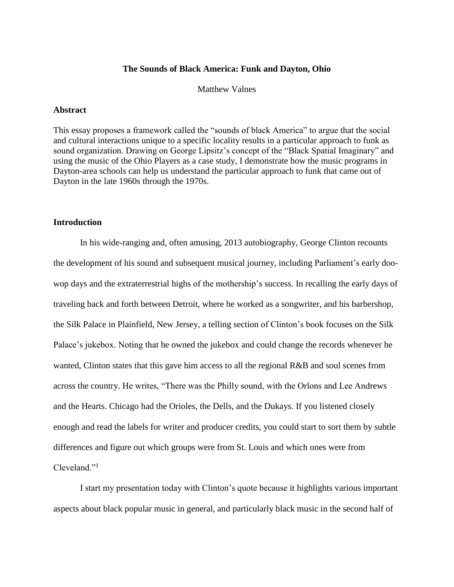## **The Sounds of Black America: Funk and Dayton, Ohio**

### Matthew Valnes

#### **Abstract**

This essay proposes a framework called the "sounds of black America" to argue that the social and cultural interactions unique to a specific locality results in a particular approach to funk as sound organization. Drawing on George Lipsitz's concept of the "Black Spatial Imaginary" and using the music of the Ohio Players as a case study, I demonstrate how the music programs in Dayton-area schools can help us understand the particular approach to funk that came out of Dayton in the late 1960s through the 1970s.

### **Introduction**

In his wide-ranging and, often amusing, 2013 autobiography, George Clinton recounts the development of his sound and subsequent musical journey, including Parliament's early doowop days and the extraterrestrial highs of the mothership's success. In recalling the early days of traveling back and forth between Detroit, where he worked as a songwriter, and his barbershop, the Silk Palace in Plainfield, New Jersey, a telling section of Clinton's book focuses on the Silk Palace's jukebox. Noting that he owned the jukebox and could change the records whenever he wanted, Clinton states that this gave him access to all the regional R&B and soul scenes from across the country. He writes, "There was the Philly sound, with the Orlons and Lee Andrews and the Hearts. Chicago had the Orioles, the Dells, and the Dukays. If you listened closely enough and read the labels for writer and producer credits, you could start to sort them by subtle differences and figure out which groups were from St. Louis and which ones were from Cleveland."<sup>1</sup>

I start my presentation today with Clinton's quote because it highlights various important aspects about black popular music in general, and particularly black music in the second half of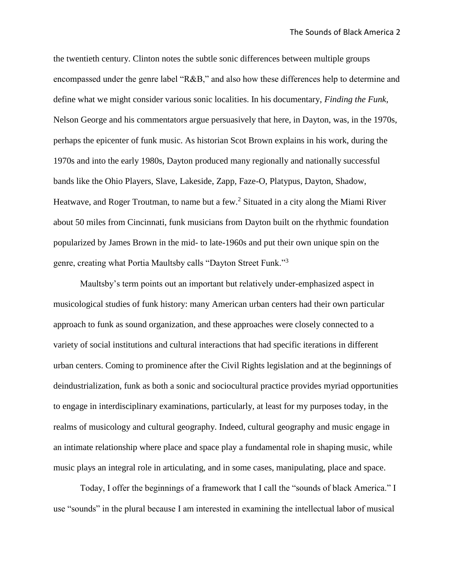the twentieth century. Clinton notes the subtle sonic differences between multiple groups encompassed under the genre label "R&B," and also how these differences help to determine and define what we might consider various sonic localities. In his documentary, *Finding the Funk*, Nelson George and his commentators argue persuasively that here, in Dayton, was, in the 1970s, perhaps the epicenter of funk music. As historian Scot Brown explains in his work, during the 1970s and into the early 1980s, Dayton produced many regionally and nationally successful bands like the Ohio Players, Slave, Lakeside, Zapp, Faze-O, Platypus, Dayton, Shadow, Heatwave, and Roger Troutman, to name but a few.<sup>2</sup> Situated in a city along the Miami River about 50 miles from Cincinnati, funk musicians from Dayton built on the rhythmic foundation popularized by James Brown in the mid- to late-1960s and put their own unique spin on the genre, creating what Portia Maultsby calls "Dayton Street Funk."<sup>3</sup>

Maultsby's term points out an important but relatively under-emphasized aspect in musicological studies of funk history: many American urban centers had their own particular approach to funk as sound organization, and these approaches were closely connected to a variety of social institutions and cultural interactions that had specific iterations in different urban centers. Coming to prominence after the Civil Rights legislation and at the beginnings of deindustrialization, funk as both a sonic and sociocultural practice provides myriad opportunities to engage in interdisciplinary examinations, particularly, at least for my purposes today, in the realms of musicology and cultural geography. Indeed, cultural geography and music engage in an intimate relationship where place and space play a fundamental role in shaping music, while music plays an integral role in articulating, and in some cases, manipulating, place and space.

Today, I offer the beginnings of a framework that I call the "sounds of black America." I use "sounds" in the plural because I am interested in examining the intellectual labor of musical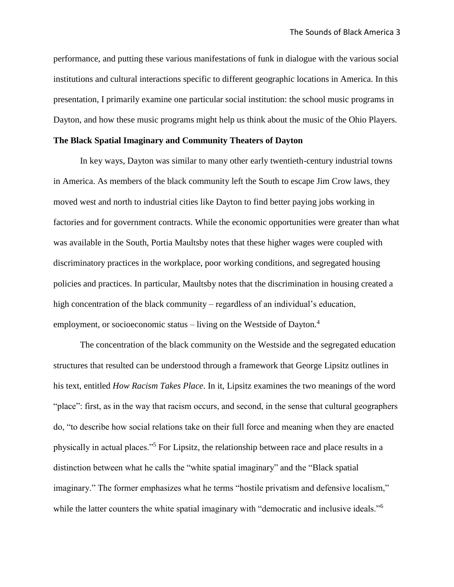performance, and putting these various manifestations of funk in dialogue with the various social institutions and cultural interactions specific to different geographic locations in America. In this presentation, I primarily examine one particular social institution: the school music programs in Dayton, and how these music programs might help us think about the music of the Ohio Players.

# **The Black Spatial Imaginary and Community Theaters of Dayton**

In key ways, Dayton was similar to many other early twentieth-century industrial towns in America. As members of the black community left the South to escape Jim Crow laws, they moved west and north to industrial cities like Dayton to find better paying jobs working in factories and for government contracts. While the economic opportunities were greater than what was available in the South, Portia Maultsby notes that these higher wages were coupled with discriminatory practices in the workplace, poor working conditions, and segregated housing policies and practices. In particular, Maultsby notes that the discrimination in housing created a high concentration of the black community – regardless of an individual's education, employment, or socioeconomic status – living on the Westside of Dayton.<sup>4</sup>

The concentration of the black community on the Westside and the segregated education structures that resulted can be understood through a framework that George Lipsitz outlines in his text, entitled *How Racism Takes Place*. In it, Lipsitz examines the two meanings of the word "place": first, as in the way that racism occurs, and second, in the sense that cultural geographers do, "to describe how social relations take on their full force and meaning when they are enacted physically in actual places."<sup>5</sup> For Lipsitz, the relationship between race and place results in a distinction between what he calls the "white spatial imaginary" and the "Black spatial imaginary." The former emphasizes what he terms "hostile privatism and defensive localism," while the latter counters the white spatial imaginary with "democratic and inclusive ideals."<sup>6</sup>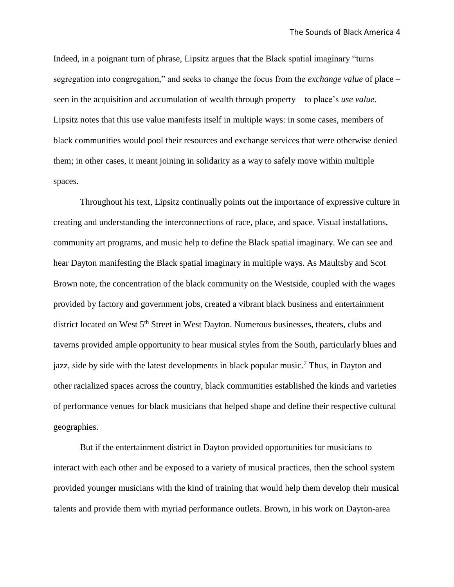Indeed, in a poignant turn of phrase, Lipsitz argues that the Black spatial imaginary "turns segregation into congregation," and seeks to change the focus from the *exchange value* of place – seen in the acquisition and accumulation of wealth through property – to place's *use value*. Lipsitz notes that this use value manifests itself in multiple ways: in some cases, members of black communities would pool their resources and exchange services that were otherwise denied them; in other cases, it meant joining in solidarity as a way to safely move within multiple spaces.

Throughout his text, Lipsitz continually points out the importance of expressive culture in creating and understanding the interconnections of race, place, and space. Visual installations, community art programs, and music help to define the Black spatial imaginary. We can see and hear Dayton manifesting the Black spatial imaginary in multiple ways. As Maultsby and Scot Brown note, the concentration of the black community on the Westside, coupled with the wages provided by factory and government jobs, created a vibrant black business and entertainment district located on West 5<sup>th</sup> Street in West Dayton. Numerous businesses, theaters, clubs and taverns provided ample opportunity to hear musical styles from the South, particularly blues and jazz, side by side with the latest developments in black popular music.<sup>7</sup> Thus, in Dayton and other racialized spaces across the country, black communities established the kinds and varieties of performance venues for black musicians that helped shape and define their respective cultural geographies.

But if the entertainment district in Dayton provided opportunities for musicians to interact with each other and be exposed to a variety of musical practices, then the school system provided younger musicians with the kind of training that would help them develop their musical talents and provide them with myriad performance outlets. Brown, in his work on Dayton-area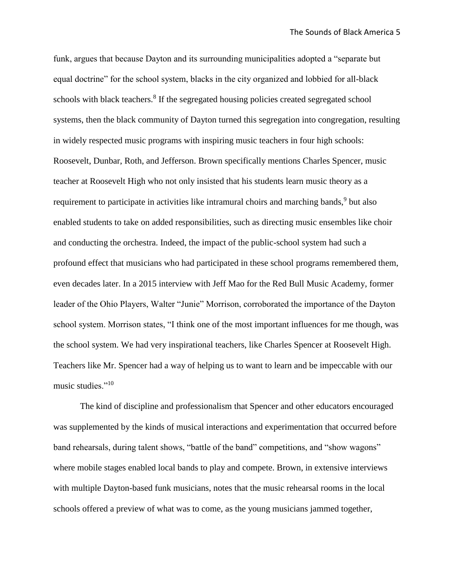funk, argues that because Dayton and its surrounding municipalities adopted a "separate but equal doctrine" for the school system, blacks in the city organized and lobbied for all-black schools with black teachers.<sup>8</sup> If the segregated housing policies created segregated school systems, then the black community of Dayton turned this segregation into congregation, resulting in widely respected music programs with inspiring music teachers in four high schools: Roosevelt, Dunbar, Roth, and Jefferson. Brown specifically mentions Charles Spencer, music teacher at Roosevelt High who not only insisted that his students learn music theory as a requirement to participate in activities like intramural choirs and marching bands,<sup>9</sup> but also enabled students to take on added responsibilities, such as directing music ensembles like choir and conducting the orchestra. Indeed, the impact of the public-school system had such a profound effect that musicians who had participated in these school programs remembered them, even decades later. In a 2015 interview with Jeff Mao for the Red Bull Music Academy, former leader of the Ohio Players, Walter "Junie" Morrison, corroborated the importance of the Dayton school system. Morrison states, "I think one of the most important influences for me though, was the school system. We had very inspirational teachers, like Charles Spencer at Roosevelt High. Teachers like Mr. Spencer had a way of helping us to want to learn and be impeccable with our music studies."<sup>10</sup>

The kind of discipline and professionalism that Spencer and other educators encouraged was supplemented by the kinds of musical interactions and experimentation that occurred before band rehearsals, during talent shows, "battle of the band" competitions, and "show wagons" where mobile stages enabled local bands to play and compete. Brown, in extensive interviews with multiple Dayton-based funk musicians, notes that the music rehearsal rooms in the local schools offered a preview of what was to come, as the young musicians jammed together,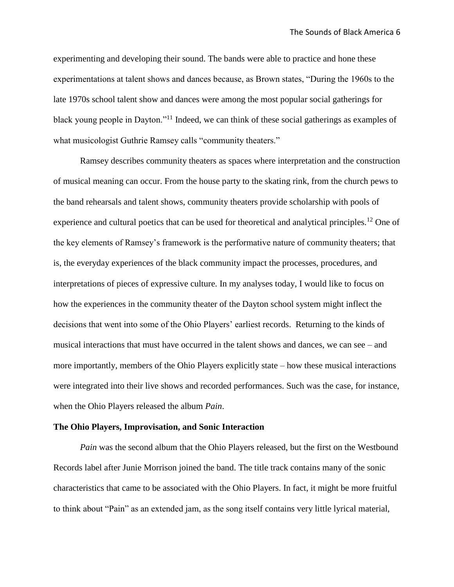experimenting and developing their sound. The bands were able to practice and hone these experimentations at talent shows and dances because, as Brown states, "During the 1960s to the late 1970s school talent show and dances were among the most popular social gatherings for black young people in Dayton."<sup>11</sup> Indeed, we can think of these social gatherings as examples of what musicologist Guthrie Ramsey calls "community theaters."

Ramsey describes community theaters as spaces where interpretation and the construction of musical meaning can occur. From the house party to the skating rink, from the church pews to the band rehearsals and talent shows, community theaters provide scholarship with pools of experience and cultural poetics that can be used for theoretical and analytical principles.<sup>12</sup> One of the key elements of Ramsey's framework is the performative nature of community theaters; that is, the everyday experiences of the black community impact the processes, procedures, and interpretations of pieces of expressive culture. In my analyses today, I would like to focus on how the experiences in the community theater of the Dayton school system might inflect the decisions that went into some of the Ohio Players' earliest records. Returning to the kinds of musical interactions that must have occurred in the talent shows and dances, we can see – and more importantly, members of the Ohio Players explicitly state – how these musical interactions were integrated into their live shows and recorded performances. Such was the case, for instance, when the Ohio Players released the album *Pain*.

#### **The Ohio Players, Improvisation, and Sonic Interaction**

*Pain* was the second album that the Ohio Players released, but the first on the Westbound Records label after Junie Morrison joined the band. The title track contains many of the sonic characteristics that came to be associated with the Ohio Players. In fact, it might be more fruitful to think about "Pain" as an extended jam, as the song itself contains very little lyrical material,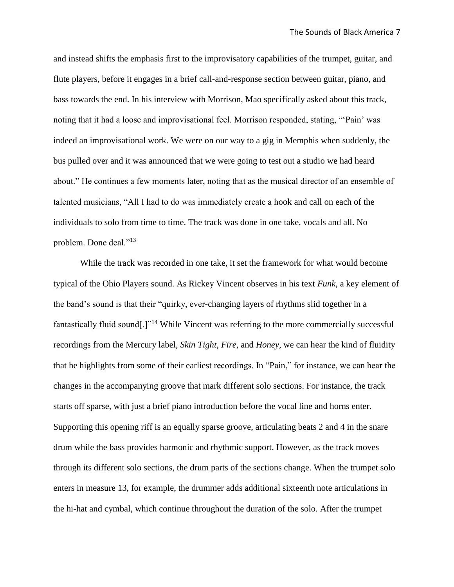and instead shifts the emphasis first to the improvisatory capabilities of the trumpet, guitar, and flute players, before it engages in a brief call-and-response section between guitar, piano, and bass towards the end. In his interview with Morrison, Mao specifically asked about this track, noting that it had a loose and improvisational feel. Morrison responded, stating, "'Pain' was indeed an improvisational work. We were on our way to a gig in Memphis when suddenly, the bus pulled over and it was announced that we were going to test out a studio we had heard about." He continues a few moments later, noting that as the musical director of an ensemble of talented musicians, "All I had to do was immediately create a hook and call on each of the individuals to solo from time to time. The track was done in one take, vocals and all. No problem. Done deal."<sup>13</sup>

While the track was recorded in one take, it set the framework for what would become typical of the Ohio Players sound. As Rickey Vincent observes in his text *Funk*, a key element of the band's sound is that their "quirky, ever-changing layers of rhythms slid together in a fantastically fluid sound[.]"<sup>14</sup> While Vincent was referring to the more commercially successful recordings from the Mercury label, *Skin Tight, Fire,* and *Honey*, we can hear the kind of fluidity that he highlights from some of their earliest recordings. In "Pain," for instance, we can hear the changes in the accompanying groove that mark different solo sections. For instance, the track starts off sparse, with just a brief piano introduction before the vocal line and horns enter. Supporting this opening riff is an equally sparse groove, articulating beats 2 and 4 in the snare drum while the bass provides harmonic and rhythmic support. However, as the track moves through its different solo sections, the drum parts of the sections change. When the trumpet solo enters in measure 13, for example, the drummer adds additional sixteenth note articulations in the hi-hat and cymbal, which continue throughout the duration of the solo. After the trumpet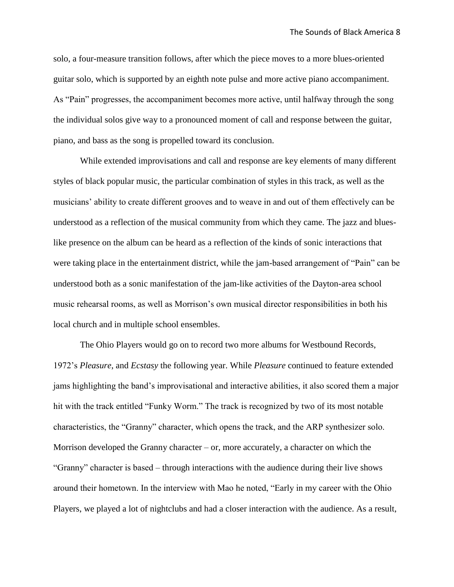solo, a four-measure transition follows, after which the piece moves to a more blues-oriented guitar solo, which is supported by an eighth note pulse and more active piano accompaniment. As "Pain" progresses, the accompaniment becomes more active, until halfway through the song the individual solos give way to a pronounced moment of call and response between the guitar, piano, and bass as the song is propelled toward its conclusion.

While extended improvisations and call and response are key elements of many different styles of black popular music, the particular combination of styles in this track, as well as the musicians' ability to create different grooves and to weave in and out of them effectively can be understood as a reflection of the musical community from which they came. The jazz and blueslike presence on the album can be heard as a reflection of the kinds of sonic interactions that were taking place in the entertainment district, while the jam-based arrangement of "Pain" can be understood both as a sonic manifestation of the jam-like activities of the Dayton-area school music rehearsal rooms, as well as Morrison's own musical director responsibilities in both his local church and in multiple school ensembles.

The Ohio Players would go on to record two more albums for Westbound Records, 1972's *Pleasure*, and *Ecstasy* the following year. While *Pleasure* continued to feature extended jams highlighting the band's improvisational and interactive abilities, it also scored them a major hit with the track entitled "Funky Worm." The track is recognized by two of its most notable characteristics, the "Granny" character, which opens the track, and the ARP synthesizer solo. Morrison developed the Granny character – or, more accurately, a character on which the "Granny" character is based – through interactions with the audience during their live shows around their hometown. In the interview with Mao he noted, "Early in my career with the Ohio Players, we played a lot of nightclubs and had a closer interaction with the audience. As a result,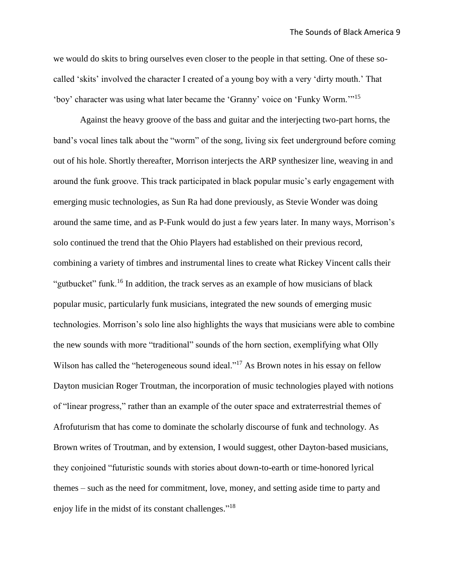we would do skits to bring ourselves even closer to the people in that setting. One of these socalled 'skits' involved the character I created of a young boy with a very 'dirty mouth.' That 'boy' character was using what later became the 'Granny' voice on 'Funky Worm.'"<sup>15</sup>

Against the heavy groove of the bass and guitar and the interjecting two-part horns, the band's vocal lines talk about the "worm" of the song, living six feet underground before coming out of his hole. Shortly thereafter, Morrison interjects the ARP synthesizer line, weaving in and around the funk groove. This track participated in black popular music's early engagement with emerging music technologies, as Sun Ra had done previously, as Stevie Wonder was doing around the same time, and as P-Funk would do just a few years later. In many ways, Morrison's solo continued the trend that the Ohio Players had established on their previous record, combining a variety of timbres and instrumental lines to create what Rickey Vincent calls their "gutbucket" funk.<sup>16</sup> In addition, the track serves as an example of how musicians of black popular music, particularly funk musicians, integrated the new sounds of emerging music technologies. Morrison's solo line also highlights the ways that musicians were able to combine the new sounds with more "traditional" sounds of the horn section, exemplifying what Olly Wilson has called the "heterogeneous sound ideal."<sup>17</sup> As Brown notes in his essay on fellow Dayton musician Roger Troutman, the incorporation of music technologies played with notions of "linear progress," rather than an example of the outer space and extraterrestrial themes of Afrofuturism that has come to dominate the scholarly discourse of funk and technology. As Brown writes of Troutman, and by extension, I would suggest, other Dayton-based musicians, they conjoined "futuristic sounds with stories about down-to-earth or time-honored lyrical themes – such as the need for commitment, love, money, and setting aside time to party and enjoy life in the midst of its constant challenges."<sup>18</sup>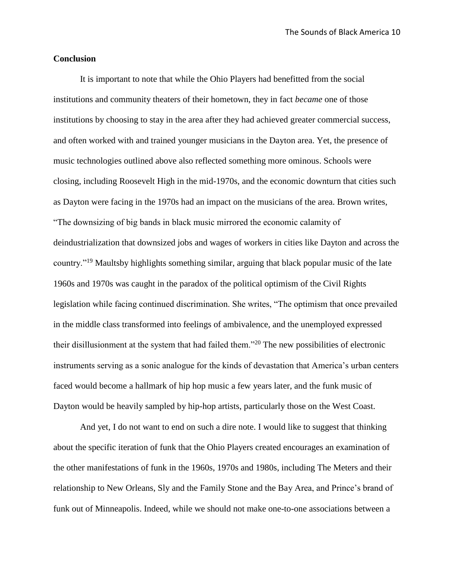## **Conclusion**

It is important to note that while the Ohio Players had benefitted from the social institutions and community theaters of their hometown, they in fact *became* one of those institutions by choosing to stay in the area after they had achieved greater commercial success, and often worked with and trained younger musicians in the Dayton area. Yet, the presence of music technologies outlined above also reflected something more ominous. Schools were closing, including Roosevelt High in the mid-1970s, and the economic downturn that cities such as Dayton were facing in the 1970s had an impact on the musicians of the area. Brown writes, "The downsizing of big bands in black music mirrored the economic calamity of deindustrialization that downsized jobs and wages of workers in cities like Dayton and across the country."<sup>19</sup> Maultsby highlights something similar, arguing that black popular music of the late 1960s and 1970s was caught in the paradox of the political optimism of the Civil Rights legislation while facing continued discrimination. She writes, "The optimism that once prevailed in the middle class transformed into feelings of ambivalence, and the unemployed expressed their disillusionment at the system that had failed them."<sup>20</sup> The new possibilities of electronic instruments serving as a sonic analogue for the kinds of devastation that America's urban centers faced would become a hallmark of hip hop music a few years later, and the funk music of Dayton would be heavily sampled by hip-hop artists, particularly those on the West Coast.

And yet, I do not want to end on such a dire note. I would like to suggest that thinking about the specific iteration of funk that the Ohio Players created encourages an examination of the other manifestations of funk in the 1960s, 1970s and 1980s, including The Meters and their relationship to New Orleans, Sly and the Family Stone and the Bay Area, and Prince's brand of funk out of Minneapolis. Indeed, while we should not make one-to-one associations between a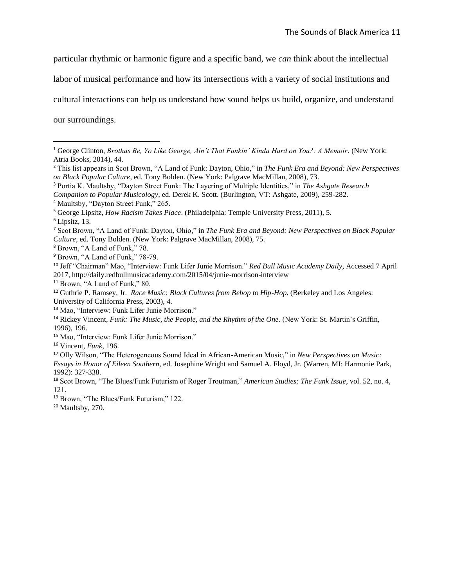particular rhythmic or harmonic figure and a specific band, we *can* think about the intellectual

labor of musical performance and how its intersections with a variety of social institutions and

cultural interactions can help us understand how sound helps us build, organize, and understand

our surroundings.

<sup>3</sup> Portia K. Maultsby, "Dayton Street Funk: The Layering of Multiple Identities," in *The Ashgate Research* 

 $\overline{a}$ 

<sup>8</sup> Brown, "A Land of Funk," 78.

<sup>9</sup> Brown, "A Land of Funk," 78-79.

<sup>15</sup> Mao, "Interview: Funk Lifer Junie Morrison."

<sup>16</sup> Vincent, *Funk*, 196.

<sup>1</sup> George Clinton, *Brothas Be, Yo Like George, Ain't That Funkin' Kinda Hard on You?: A Memoir*. (New York: Atria Books, 2014), 44.

<sup>2</sup> This list appears in Scot Brown, "A Land of Funk: Dayton, Ohio," in *The Funk Era and Beyond: New Perspectives on Black Popular Culture*, ed. Tony Bolden. (New York: Palgrave MacMillan, 2008), 73.

*Companion to Popular Musicology*, ed. Derek K. Scott. (Burlington, VT: Ashgate, 2009), 259-282.

<sup>4</sup> Maultsby, "Dayton Street Funk," 265.

<sup>5</sup> George Lipsitz, *How Racism Takes Place*. (Philadelphia: Temple University Press, 2011), 5.

 $6$  Lipsitz, 13.

<sup>7</sup> Scot Brown, "A Land of Funk: Dayton, Ohio," in *The Funk Era and Beyond: New Perspectives on Black Popular Culture*, ed. Tony Bolden. (New York: Palgrave MacMillan, 2008), 75.

<sup>10</sup> Jeff "Chairman" Mao, "Interview: Funk Lifer Junie Morrison." *Red Bull Music Academy Daily*, Accessed 7 April 2017, http://daily.redbullmusicacademy.com/2015/04/junie-morrison-interview

<sup>11</sup> Brown, "A Land of Funk," 80.

<sup>12</sup> Guthrie P. Ramsey, Jr. *Race Music: Black Cultures from Bebop to Hip-Hop.* (Berkeley and Los Angeles: University of California Press, 2003), 4.

<sup>13</sup> Mao, "Interview: Funk Lifer Junie Morrison."

<sup>14</sup> Rickey Vincent, *Funk: The Music, the People, and the Rhythm of the One*. (New York: St. Martin's Griffin, 1996), 196.

<sup>17</sup> Olly Wilson, "The Heterogeneous Sound Ideal in African-American Music," in *New Perspectives on Music: Essays in Honor of Eileen Southern,* ed. Josephine Wright and Samuel A. Floyd, Jr. (Warren, MI: Harmonie Park, 1992): 327-338.

<sup>18</sup> Scot Brown, "The Blues/Funk Futurism of Roger Troutman," *American Studies: The Funk Issue*, vol. 52, no. 4, 121.

<sup>19</sup> Brown, "The Blues/Funk Futurism," 122.

<sup>20</sup> Maultsby, 270.